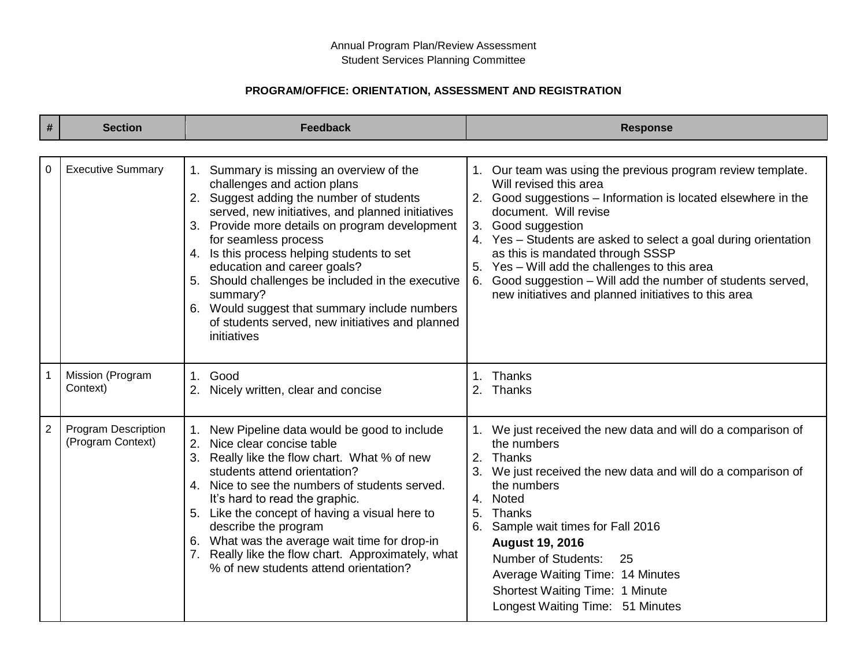## **PROGRAM/OFFICE: ORIENTATION, ASSESSMENT AND REGISTRATION**

| #              | <b>Section</b>                                  | <b>Feedback</b>                                                                                                                                                                                                                                                                                                                                                                                                                                                                                                    | <b>Response</b>                                                                                                                                                                                                                                                                                                                                                                                                                                                                             |
|----------------|-------------------------------------------------|--------------------------------------------------------------------------------------------------------------------------------------------------------------------------------------------------------------------------------------------------------------------------------------------------------------------------------------------------------------------------------------------------------------------------------------------------------------------------------------------------------------------|---------------------------------------------------------------------------------------------------------------------------------------------------------------------------------------------------------------------------------------------------------------------------------------------------------------------------------------------------------------------------------------------------------------------------------------------------------------------------------------------|
| 0              | <b>Executive Summary</b>                        | 1. Summary is missing an overview of the<br>challenges and action plans<br>2. Suggest adding the number of students<br>served, new initiatives, and planned initiatives<br>3. Provide more details on program development<br>for seamless process<br>4. Is this process helping students to set<br>education and career goals?<br>5. Should challenges be included in the executive<br>summary?<br>6. Would suggest that summary include numbers<br>of students served, new initiatives and planned<br>initiatives | 1. Our team was using the previous program review template.<br>Will revised this area<br>2. Good suggestions - Information is located elsewhere in the<br>document. Will revise<br>Good suggestion<br>3.<br>4. Yes - Students are asked to select a goal during orientation<br>as this is mandated through SSSP<br>5. Yes - Will add the challenges to this area<br>Good suggestion - Will add the number of students served,<br>6.<br>new initiatives and planned initiatives to this area |
|                | Mission (Program<br>Context)                    | Good<br>1 <sub>1</sub><br>2. Nicely written, clear and concise                                                                                                                                                                                                                                                                                                                                                                                                                                                     | 1. Thanks<br>2. Thanks                                                                                                                                                                                                                                                                                                                                                                                                                                                                      |
| $\overline{2}$ | <b>Program Description</b><br>(Program Context) | 1. New Pipeline data would be good to include<br>2. Nice clear concise table<br>3. Really like the flow chart. What % of new<br>students attend orientation?<br>4. Nice to see the numbers of students served.<br>It's hard to read the graphic.<br>5. Like the concept of having a visual here to<br>describe the program<br>6. What was the average wait time for drop-in<br>7. Really like the flow chart. Approximately, what<br>% of new students attend orientation?                                         | 1. We just received the new data and will do a comparison of<br>the numbers<br>2. Thanks<br>We just received the new data and will do a comparison of<br>the numbers<br><b>Noted</b><br>4.<br>5.<br>Thanks<br>Sample wait times for Fall 2016<br><b>August 19, 2016</b><br><b>Number of Students:</b><br>25<br>Average Waiting Time: 14 Minutes<br><b>Shortest Waiting Time: 1 Minute</b><br>Longest Waiting Time: 51 Minutes                                                               |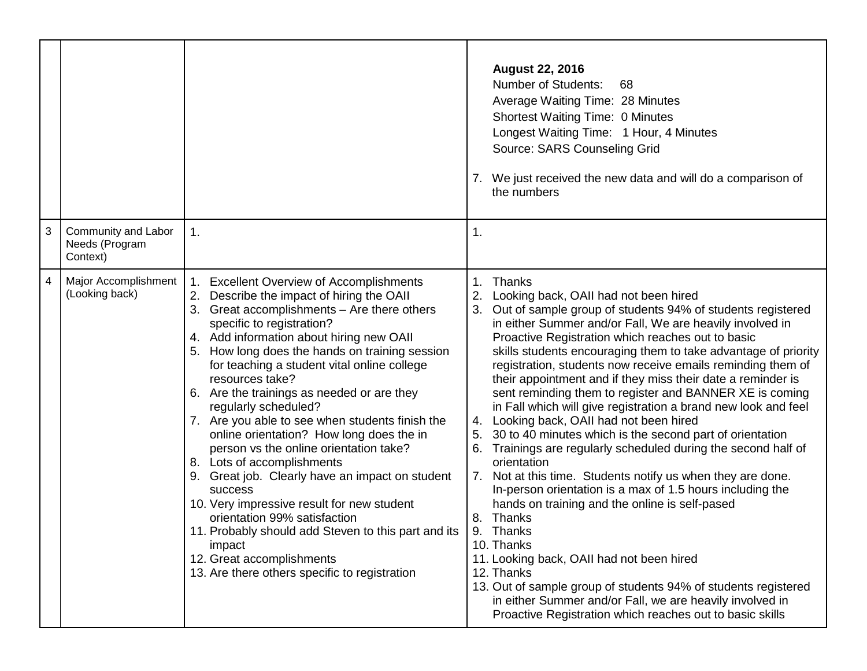|                |                                                   |                                                                                                                                                                                                                                                                                                                                                                                                                                                                                                                                                                                                                                                                                                                                                                                                                                                                        |                      | <b>August 22, 2016</b><br><b>Number of Students:</b><br>68<br>Average Waiting Time: 28 Minutes<br><b>Shortest Waiting Time: 0 Minutes</b><br>Longest Waiting Time: 1 Hour, 4 Minutes<br>Source: SARS Counseling Grid<br>7. We just received the new data and will do a comparison of<br>the numbers                                                                                                                                                                                                                                                                                                                                                                                                                                                                                                                                                                                                                                                                                                                                                                                                                                                                                                                       |
|----------------|---------------------------------------------------|------------------------------------------------------------------------------------------------------------------------------------------------------------------------------------------------------------------------------------------------------------------------------------------------------------------------------------------------------------------------------------------------------------------------------------------------------------------------------------------------------------------------------------------------------------------------------------------------------------------------------------------------------------------------------------------------------------------------------------------------------------------------------------------------------------------------------------------------------------------------|----------------------|---------------------------------------------------------------------------------------------------------------------------------------------------------------------------------------------------------------------------------------------------------------------------------------------------------------------------------------------------------------------------------------------------------------------------------------------------------------------------------------------------------------------------------------------------------------------------------------------------------------------------------------------------------------------------------------------------------------------------------------------------------------------------------------------------------------------------------------------------------------------------------------------------------------------------------------------------------------------------------------------------------------------------------------------------------------------------------------------------------------------------------------------------------------------------------------------------------------------------|
| $\mathbf{3}$   | Community and Labor<br>Needs (Program<br>Context) | 1.                                                                                                                                                                                                                                                                                                                                                                                                                                                                                                                                                                                                                                                                                                                                                                                                                                                                     | 1.                   |                                                                                                                                                                                                                                                                                                                                                                                                                                                                                                                                                                                                                                                                                                                                                                                                                                                                                                                                                                                                                                                                                                                                                                                                                           |
| $\overline{4}$ | Major Accomplishment<br>(Looking back)            | 1. Excellent Overview of Accomplishments<br>2. Describe the impact of hiring the OAII<br>3. Great accomplishments - Are there others<br>specific to registration?<br>4. Add information about hiring new OAII<br>How long does the hands on training session<br>for teaching a student vital online college<br>resources take?<br>6. Are the trainings as needed or are they<br>regularly scheduled?<br>7. Are you able to see when students finish the<br>online orientation? How long does the in<br>person vs the online orientation take?<br>8. Lots of accomplishments<br>9. Great job. Clearly have an impact on student<br>success<br>10. Very impressive result for new student<br>orientation 99% satisfaction<br>11. Probably should add Steven to this part and its<br>impact<br>12. Great accomplishments<br>13. Are there others specific to registration | 1.<br>4.<br>5.<br>6. | Thanks<br>Looking back, OAII had not been hired<br>Out of sample group of students 94% of students registered<br>in either Summer and/or Fall, We are heavily involved in<br>Proactive Registration which reaches out to basic<br>skills students encouraging them to take advantage of priority<br>registration, students now receive emails reminding them of<br>their appointment and if they miss their date a reminder is<br>sent reminding them to register and BANNER XE is coming<br>in Fall which will give registration a brand new look and feel<br>Looking back, OAII had not been hired<br>30 to 40 minutes which is the second part of orientation<br>Trainings are regularly scheduled during the second half of<br>orientation<br>7. Not at this time. Students notify us when they are done.<br>In-person orientation is a max of 1.5 hours including the<br>hands on training and the online is self-pased<br>8. Thanks<br>9. Thanks<br>10. Thanks<br>11. Looking back, OAII had not been hired<br>12. Thanks<br>13. Out of sample group of students 94% of students registered<br>in either Summer and/or Fall, we are heavily involved in<br>Proactive Registration which reaches out to basic skills |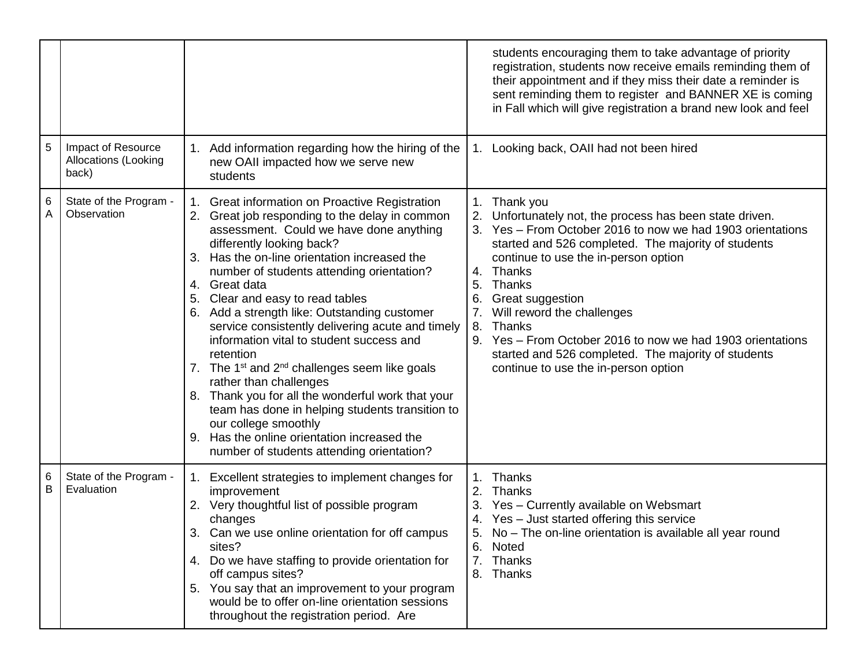|        |                                                     | students encouraging them to take advantage of priority<br>registration, students now receive emails reminding them of<br>their appointment and if they miss their date a reminder is<br>sent reminding them to register and BANNER XE is coming<br>in Fall which will give registration a brand new look and feel                                                                                                                                                                                                                                                                                                                                                                                                                                                                                                                                                                                                                                                                                                                                                                                                                                                                                                                                                                                               |  |
|--------|-----------------------------------------------------|------------------------------------------------------------------------------------------------------------------------------------------------------------------------------------------------------------------------------------------------------------------------------------------------------------------------------------------------------------------------------------------------------------------------------------------------------------------------------------------------------------------------------------------------------------------------------------------------------------------------------------------------------------------------------------------------------------------------------------------------------------------------------------------------------------------------------------------------------------------------------------------------------------------------------------------------------------------------------------------------------------------------------------------------------------------------------------------------------------------------------------------------------------------------------------------------------------------------------------------------------------------------------------------------------------------|--|
| 5      | Impact of Resource<br>Allocations (Looking<br>back) | 1. Add information regarding how the hiring of the<br>1. Looking back, OAII had not been hired<br>new OAII impacted how we serve new<br>students                                                                                                                                                                                                                                                                                                                                                                                                                                                                                                                                                                                                                                                                                                                                                                                                                                                                                                                                                                                                                                                                                                                                                                 |  |
| 6<br>Α | State of the Program -<br>Observation               | 1. Great information on Proactive Registration<br>Thank you<br>1.<br>2. Great job responding to the delay in common<br>Unfortunately not, the process has been state driven.<br>Yes - From October 2016 to now we had 1903 orientations<br>assessment. Could we have done anything<br>differently looking back?<br>started and 526 completed. The majority of students<br>Has the on-line orientation increased the<br>continue to use the in-person option<br>number of students attending orientation?<br>Thanks<br>4.<br>Thanks<br>4. Great data<br>5.<br>5. Clear and easy to read tables<br>Great suggestion<br>6. Add a strength like: Outstanding customer<br>7.<br>Will reword the challenges<br>service consistently delivering acute and timely<br>8.<br>Thanks<br>information vital to student success and<br>9. Yes – From October 2016 to now we had 1903 orientations<br>started and 526 completed. The majority of students<br>retention<br>7. The $1^{st}$ and $2^{nd}$ challenges seem like goals<br>continue to use the in-person option<br>rather than challenges<br>8. Thank you for all the wonderful work that your<br>team has done in helping students transition to<br>our college smoothly<br>9. Has the online orientation increased the<br>number of students attending orientation? |  |
| 6<br>B | State of the Program -<br>Evaluation                | Thanks<br>1. Excellent strategies to implement changes for<br>1.<br>improvement<br>Thanks<br>Yes - Currently available on Websmart<br>2. Very thoughtful list of possible program<br>4. Yes - Just started offering this service<br>changes<br>No - The on-line orientation is available all year round<br>3. Can we use online orientation for off campus<br>6.<br>Noted<br>sites?<br>4. Do we have staffing to provide orientation for<br>7.<br>Thanks<br>off campus sites?<br>8. Thanks<br>5. You say that an improvement to your program<br>would be to offer on-line orientation sessions<br>throughout the registration period. Are                                                                                                                                                                                                                                                                                                                                                                                                                                                                                                                                                                                                                                                                        |  |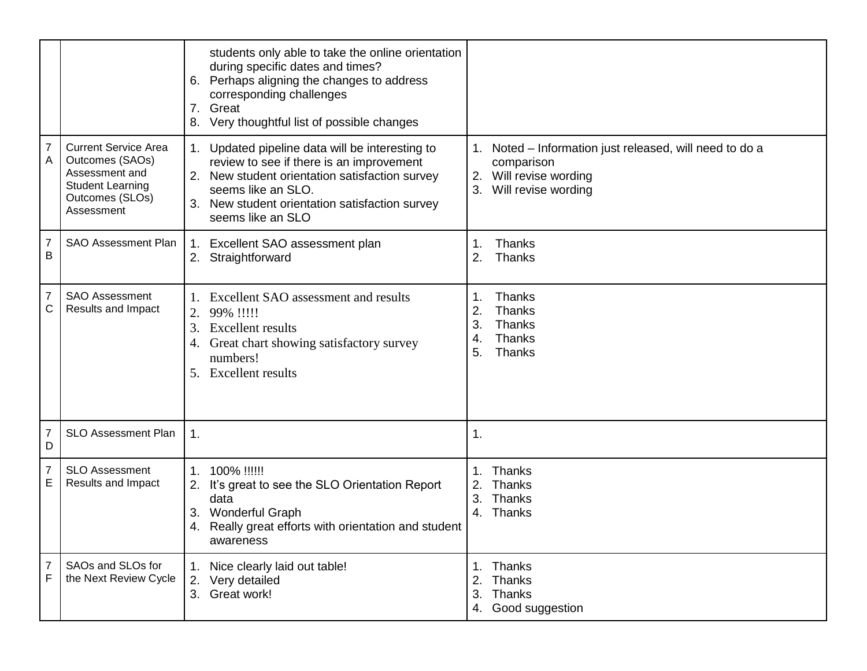|                     |                                                                                                                              | students only able to take the online orientation<br>during specific dates and times?<br>Perhaps aligning the changes to address<br>6.<br>corresponding challenges<br>Great<br>7.<br>Very thoughtful list of possible changes<br>8.        |                                                                                                                                 |
|---------------------|------------------------------------------------------------------------------------------------------------------------------|--------------------------------------------------------------------------------------------------------------------------------------------------------------------------------------------------------------------------------------------|---------------------------------------------------------------------------------------------------------------------------------|
| 7<br>Α              | <b>Current Service Area</b><br>Outcomes (SAOs)<br>Assessment and<br><b>Student Learning</b><br>Outcomes (SLOs)<br>Assessment | 1. Updated pipeline data will be interesting to<br>review to see if there is an improvement<br>2. New student orientation satisfaction survey<br>seems like an SLO.<br>3. New student orientation satisfaction survey<br>seems like an SLO | 1. Noted – Information just released, will need to do a<br>comparison<br>Will revise wording<br>2.<br>Will revise wording<br>3. |
| $\overline{7}$<br>B | SAO Assessment Plan                                                                                                          | Excellent SAO assessment plan<br>1.<br>2. Straightforward                                                                                                                                                                                  | 1.<br>Thanks<br>2.<br>Thanks                                                                                                    |
| 7<br>С              | <b>SAO Assessment</b><br>Results and Impact                                                                                  | 1. Excellent SAO assessment and results<br>2. 99% !!!!!<br><b>Excellent results</b><br>3.<br>Great chart showing satisfactory survey<br>4.<br>numbers!<br>5. Excellent results                                                             | Thanks<br>1.<br>2.<br>Thanks<br>3.<br>Thanks<br>Thanks<br>4.<br>5.<br>Thanks                                                    |
| 7<br>D              | <b>SLO Assessment Plan</b>                                                                                                   | $\mathbf{1}$ .                                                                                                                                                                                                                             | $\mathbf 1$ .                                                                                                                   |
| 7<br>E              | <b>SLO Assessment</b><br>Results and Impact                                                                                  | 1. 100% !!!!!!<br>It's great to see the SLO Orientation Report<br>2.<br>data<br>3. Wonderful Graph<br>Really great efforts with orientation and student<br>4.<br>awareness                                                                 | Thanks<br>Thanks<br>3.<br>Thanks<br>4. Thanks                                                                                   |
| 7<br>F              | SAOs and SLOs for<br>the Next Review Cycle                                                                                   | 1. Nice clearly laid out table!<br>2. Very detailed<br>3. Great work!                                                                                                                                                                      | Thanks<br>1.<br>2.<br>Thanks<br>3.<br>Thanks<br>4. Good suggestion                                                              |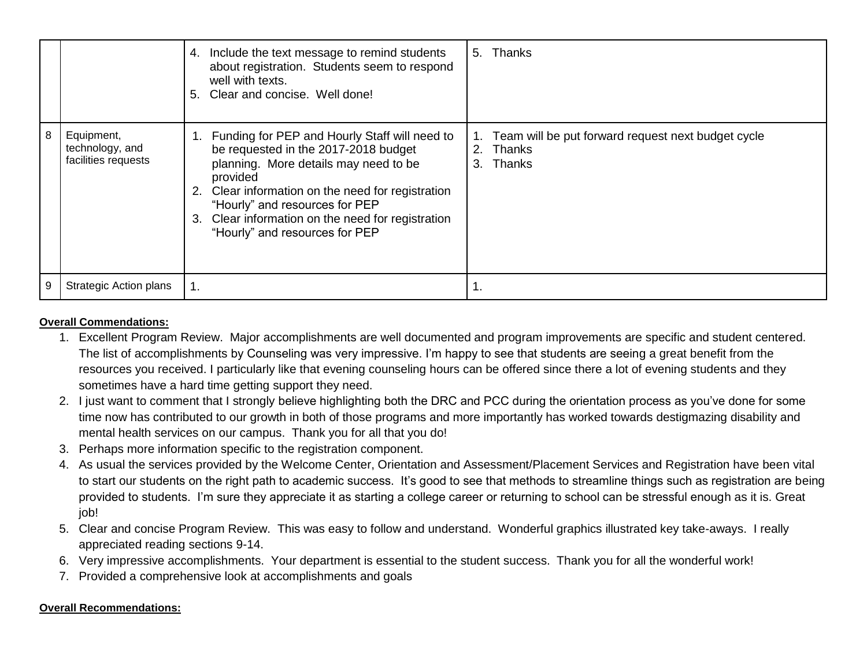|   |                                                      | 4. Include the text message to remind students<br>about registration. Students seem to respond<br>well with texts.<br>5. Clear and concise. Well done!                                                                                                                                                                         | 5. Thanks                                                                             |
|---|------------------------------------------------------|--------------------------------------------------------------------------------------------------------------------------------------------------------------------------------------------------------------------------------------------------------------------------------------------------------------------------------|---------------------------------------------------------------------------------------|
| 8 | Equipment,<br>technology, and<br>facilities requests | Funding for PEP and Hourly Staff will need to<br>be requested in the 2017-2018 budget<br>planning. More details may need to be<br>provided<br>Clear information on the need for registration<br>2.<br>"Hourly" and resources for PEP<br>Clear information on the need for registration<br>3.<br>"Hourly" and resources for PEP | 1. Team will be put forward request next budget cycle<br>Thanks<br>2.<br>3.<br>Thanks |
| 9 | <b>Strategic Action plans</b>                        | 1.                                                                                                                                                                                                                                                                                                                             |                                                                                       |

## **Overall Commendations:**

- 1. Excellent Program Review. Major accomplishments are well documented and program improvements are specific and student centered. The list of accomplishments by Counseling was very impressive. I'm happy to see that students are seeing a great benefit from the resources you received. I particularly like that evening counseling hours can be offered since there a lot of evening students and they sometimes have a hard time getting support they need.
- 2. I just want to comment that I strongly believe highlighting both the DRC and PCC during the orientation process as you've done for some time now has contributed to our growth in both of those programs and more importantly has worked towards destigmazing disability and mental health services on our campus. Thank you for all that you do!
- 3. Perhaps more information specific to the registration component.
- 4. As usual the services provided by the Welcome Center, Orientation and Assessment/Placement Services and Registration have been vital to start our students on the right path to academic success. It's good to see that methods to streamline things such as registration are being provided to students. I'm sure they appreciate it as starting a college career or returning to school can be stressful enough as it is. Great job!
- 5. Clear and concise Program Review. This was easy to follow and understand. Wonderful graphics illustrated key take-aways. I really appreciated reading sections 9-14.
- 6. Very impressive accomplishments. Your department is essential to the student success. Thank you for all the wonderful work!
- 7. Provided a comprehensive look at accomplishments and goals

## **Overall Recommendations:**